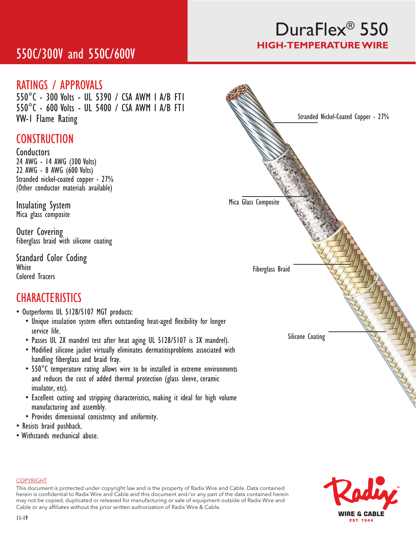# 550C/300V and 550C/600V

# DuraFlex® 550 **HIGH-TEMPERATURE WIRE**

## RATINGS / APPROVALS

550°C - 300 Volts - UL 5390 / CSA AWM I A/B FT1 550°C - 600 Volts - UL 5400 / CSA AWM I A/B FT1 VW-1 Flame Rating

## **CONSTRUCTION**

**Conductors** 24 AWG - 14 AWG (300 Volts) 22 AWG - 8 AWG (600 Volts) Stranded nickel-coated copper - 27% (Other conductor materials available)

Insulating System Mica glass composite

Outer Covering Fiberglass braid with silicone coating

Standard Color Coding White Colored Tracers

## **CHARACTERISTICS**

- Outperforms UL 5128/5107 MGT products:
	- Unique insulation system offers outstanding heat-aged flexibility for longer service life.
	- Passes UL 2X mandrel test after heat aging UL 5128/5107 is 3X mandrel).
	- Modified silicone jacket virtually eliminates dermatitisproblems associated with handling fiberglass and braid fray.
	- 550°C temperature rating allows wire to be installed in extreme environments and reduces the cost of added thermal protection (glass sleeve, ceramic insulator, etc).
	- Excellent cutting and stripping characteristics, making it ideal for high volume manufacturing and assembly.
	- Provides dimensional consistency and uniformity.
- Resists braid pushback.
- Withstands mechanical abuse.





#### **COPYRIGHT**

This document is protected under copyright law and is the property of Radix Wire and Cable. Data contained herein is confidential to Radix Wire and Cable and this document and / or any part of the data contained herein may not be copied, duplicated or released for manufacturing or sale of equipment outside of Radix Wire and Cable or any affiliates without the prior written authorization of Radix Wire & Cable.